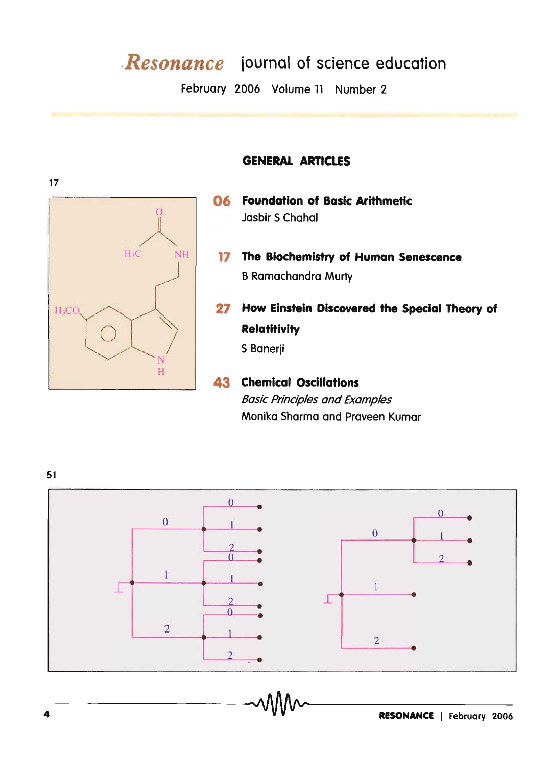## **Resonance** journal of science education

February 2006 Volume 11 Number 2

**GENERAL ARTICLES** 



- 06 Foundation of Basic Arithmetic **Jasbir S Chahal**
- 17 The Biochemistry of Human Senescence **B Ramachandra Murty**
- 27 How Einstein Discovered the Special Theory of **Relatitivity**

S Banerji

**43 Chemical Oscillations Basic Principles and Examples** Monika Sharma and Praveen Kumar